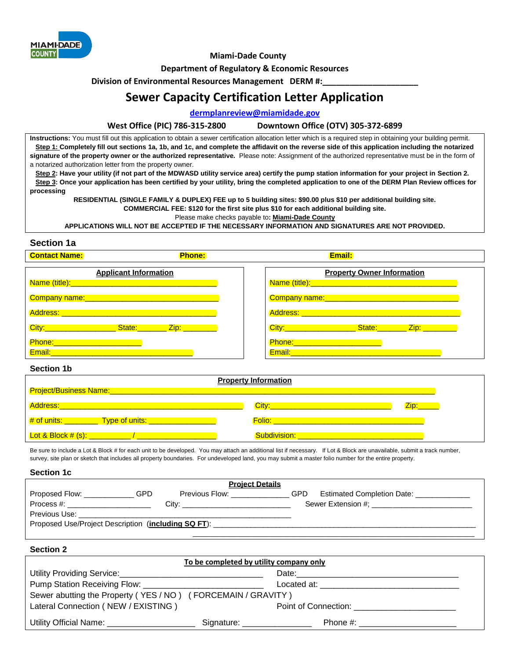

 **Miami-Dade County** 

**Department of Regulatory & Economic Resources** 

**Division of Environmental Resources Management DERM #:** 

# **Sewer Capacity Certification Letter Application**

### **[dermplanreview@miamidade.gov](mailto:dermplanreview@miamidade.gov)**

#### **West Office (PIC) 786-315-2800 Downtown Office (OTV) 305-372-6899**

**Instructions:** You must fill out this application to obtain a sewer certification allocation letter which is a required step in obtaining your building permit. **Step 1: Completely fill out sections 1a, 1b, and 1c, and complete the affidavit on the reverse side of this application including the notarized signature of the property owner or the authorized representative.** Please note: Assignment of the authorized representative must be in the form of a notarized authorization letter from the property owner.

Step 2: Have your utility (if not part of the MDWASD utility service area) certify the pump station information for your project in Section 2. **Step 3:** Once your application has been certified by your utility, bring the completed application to one of the DERM Plan Review offices for **processing** 

**RESIDENTIAL (SINGLE FAMILY & DUPLEX) FEE up to 5 building sites: \$90.00 plus \$10 per additional building site. COMMERCIAL FEE: \$120 for the first site plus \$10 for each additional building site.** 

Please make checks payable to**: Miami-Dade County** 

**APPLICATIONS WILL NOT BE ACCEPTED IF THE NECESSARY INFORMATION AND SIGNATURES ARE NOT PROVIDED.** 

## **Section 1a**

| <b>Contact Name:</b>                                                                                                                                                              | <b>Phone:</b> | Email:                                                                                                         |
|-----------------------------------------------------------------------------------------------------------------------------------------------------------------------------------|---------------|----------------------------------------------------------------------------------------------------------------|
| <b>Applicant Information</b>                                                                                                                                                      |               | <b>Property Owner Information</b>                                                                              |
|                                                                                                                                                                                   |               |                                                                                                                |
| Company name: Manual Manual Manual Manual Manual Manual Manual Manual Manual Manual Manual Manual Manual Manua                                                                    |               |                                                                                                                |
|                                                                                                                                                                                   |               |                                                                                                                |
| City: City: 2001 City: 2001                                                                                                                                                       |               | City: City: 2000 City: 2000 City: 2000 City: 2000 City: 2000 City: 2000 City: 2000 City: 2000 City: 2000 City: |
| Phone: 2008 2010 2021 2022 2023 2024 2022 2023<br>Email:<br><u> Andrew Maria (1995), prestavanje po predsjednje predsjednje predsjednje predsjednje predsjednje predsjednje p</u> |               | <u>Phone:_________________________</u>                                                                         |

#### **Section 1b**

| Project/Business Name:           | <b>Property Information</b> |  |
|----------------------------------|-----------------------------|--|
| <b>Address:</b>                  | City:                       |  |
| Type of units: __<br># of units: | <b>Folio:</b>               |  |
| <u>Lot &amp; Block # (s): _</u>  | Subdivision:                |  |

Be sure to include a Lot & Block # for each unit to be developed. You may attach an additional list if necessary. If Lot & Block are unavailable, submit a track number, survey, site plan or sketch that includes all property boundaries. For undeveloped land, you may submit a master folio number for the entire property.

**Section 1c** 

| <b>Project Details</b>                              |     |                                                                                                                 |     |                                   |  |  |
|-----------------------------------------------------|-----|-----------------------------------------------------------------------------------------------------------------|-----|-----------------------------------|--|--|
| Proposed Flow:                                      | GPD | Previous Flow: The Contract Contract Contract Contract Contract Contract Contract Contract Contract Contract Co | GPD | <b>Estimated Completion Date:</b> |  |  |
| Process #:                                          |     |                                                                                                                 |     | Sewer Extension #; New York 2014  |  |  |
| Previous Use:                                       |     |                                                                                                                 |     |                                   |  |  |
| Proposed Use/Project Description (including SQ FT): |     |                                                                                                                 |     |                                   |  |  |
|                                                     |     |                                                                                                                 |     |                                   |  |  |

**Section 2** 

| To be completed by utility company only                                                                        |                              |                                                                                                                                                                                                                                |  |
|----------------------------------------------------------------------------------------------------------------|------------------------------|--------------------------------------------------------------------------------------------------------------------------------------------------------------------------------------------------------------------------------|--|
| Utility Providing Service: University of Alliance and Alliance and Alliance and Alliance and Alliance and Alli |                              | Date: the contract of the contract of the contract of the contract of the contract of the contract of the contract of the contract of the contract of the contract of the contract of the contract of the contract of the cont |  |
|                                                                                                                |                              |                                                                                                                                                                                                                                |  |
| Sewer abutting the Property (YES/NO) (FORCEMAIN/GRAVITY)                                                       |                              |                                                                                                                                                                                                                                |  |
| Lateral Connection (NEW / EXISTING)                                                                            |                              | Point of Connection: The contract of Connection and the contract of Connection and the contract of the contract of the contract of the contract of the contract of the contract of the contract of the contract of the contrac |  |
| Utility Official Name: <u>_____________________</u>                                                            | Signature: _________________ | Phone #: the contract of the contract of the contract of the contract of the contract of the contract of the contract of the contract of the contract of the contract of the contract of the contract of the contract of the c |  |